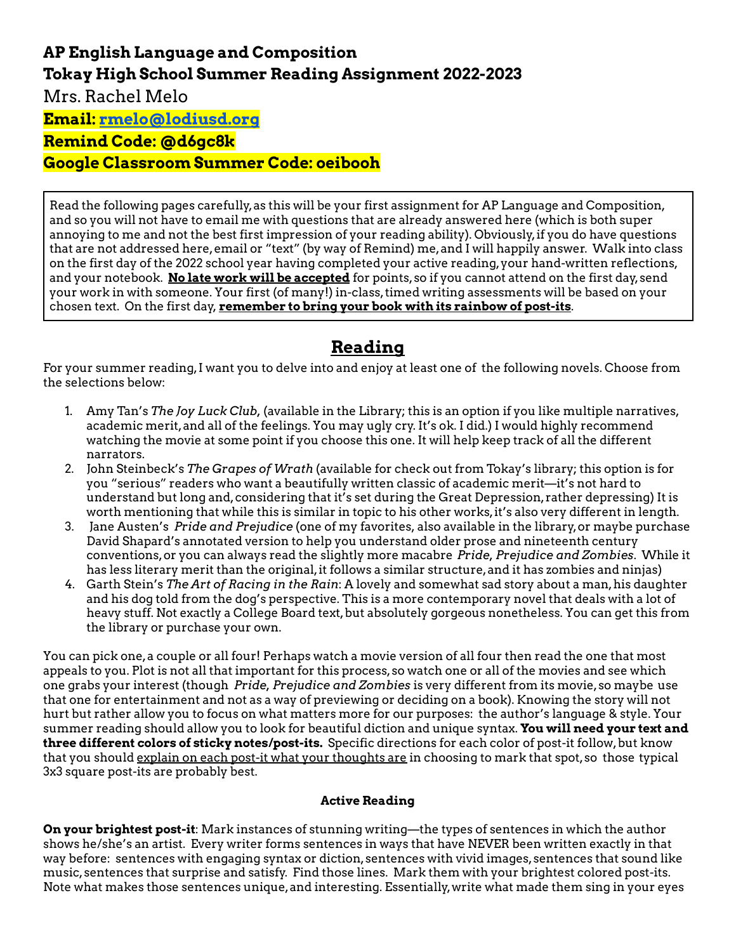# **AP English Language and Composition Tokay High School Summer Reading Assignment 2022-2023** Mrs. Rachel Melo

**Email: [rmelo@lodiusd.org](mailto:rmelo@lodiusd.org)**

### **Remind Code: @d6gc8k**

**Google Classroom Summer Code: oeibooh**

Read the following pages carefully,as this will be your first assignment for AP Language and Composition, and so you will not have to email me with questions that are already answered here (which is both super annoying to me and not the best first impression of your reading ability). Obviously,if you do have questions that are not addressed here,email or "text" (by way of Remind) me,and I will happily answer. Walk into class on the first day of the 2022 school year having completed your active reading,your hand-written reflections, and your notebook. **No late work will be accepted** for points,so if you cannot attend on the first day,send your work in with someone. Your first (of many!) in-class,timed writing assessments will be based on your chosen text. On the first day, **remember to bring your book with its rainbow of post-its**.

## **Reading**

For your summer reading,I want you to delve into and enjoy at least one of the following novels. Choose from the selections below:

- 1. Amy Tan's *The Joy Luck Club,* (available in the Library; this is an option if you like multiple narratives, academic merit,and all of the feelings. You may ugly cry. It's ok. I did.) I would highly recommend watching the movie at some point if you choose this one. It will help keep track of all the different narrators.
- 2. John Steinbeck's *The Grapes of Wrath* (available for check out from Tokay's library; this option is for you "serious" readers who want a beautifully written classic of academic merit—it's not hard to understand but long and,considering that it's set during the Great Depression,rather depressing) It is worth mentioning that while this is similar in topic to his other works,it's also very different in length.
- 3. Jane Austen's *Pride and Prejudice* (one of my favorites, also available in the library,or maybe purchase David Shapard's annotated version to help you understand older prose and nineteenth century conventions,or you can always read the slightly more macabre *Pride, Prejudice and Zombies*. While it has less literary merit than the original,it follows a similar structure,and it has zombies and ninjas)
- 4. Garth Stein's *The Art of Racing in the Rain*: A lovely and somewhat sad story about a man,his daughter and his dog told from the dog's perspective. This is a more contemporary novel that deals with a lot of heavy stuff. Not exactly a College Board text,but absolutely gorgeous nonetheless. You can get this from the library or purchase your own.

You can pick one,a couple or all four! Perhaps watch a movie version of all four then read the one that most appeals to you. Plot is not all that important for this process,so watch one or all of the movies and see which one grabs your interest (though *Pride, Prejudice and Zombies* is very different from its movie,so maybe use that one for entertainment and not as a way of previewing or deciding on a book). Knowing the story will not hurt but rather allow you to focus on what matters more for our purposes: the author's language & style. Your summer reading should allow you to look for beautiful diction and unique syntax. **You will need your text and three different colors of sticky notes/post-its.** Specific directions for each color of post-it follow,but know that you should explain on each post-it what your thoughts are in choosing to mark that spot, so those typical 3x3 square post-its are probably best.

#### **Active Reading**

**On your brightest post-it**: Mark instances of stunning writing—the types of sentences in which the author shows he/she's an artist. Every writer forms sentences in ways that have NEVER been written exactly in that way before: sentences with engaging syntax or diction, sentences with vivid images, sentences that sound like music,sentences that surprise and satisfy. Find those lines. Mark them with your brightest colored post-its. Note what makes those sentences unique, and interesting. Essentially, write what made them sing in your eyes